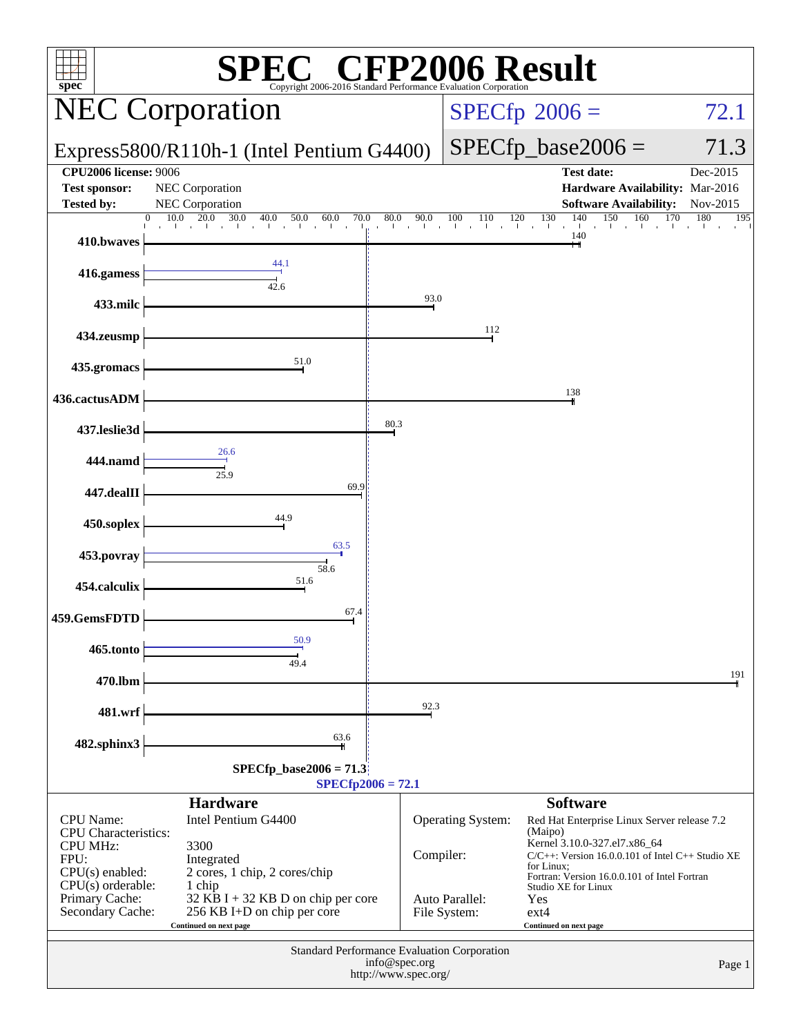| spec®                                                                     | Copyright 2006-2016 Standard Performance Evaluation Corporation                                       |                                       |                                | $\mathbb{C}^{\scriptscriptstyle \otimes}$ CFP2006 Result                                                                                            |                      |
|---------------------------------------------------------------------------|-------------------------------------------------------------------------------------------------------|---------------------------------------|--------------------------------|-----------------------------------------------------------------------------------------------------------------------------------------------------|----------------------|
|                                                                           | <b>NEC Corporation</b>                                                                                |                                       |                                | $SPECfp^{\circ}2006 =$                                                                                                                              | 72.1                 |
|                                                                           | Express5800/R110h-1 (Intel Pentium G4400)                                                             |                                       |                                | $SPECfp\_base2006 =$                                                                                                                                | 71.3                 |
| <b>CPU2006 license: 9006</b><br><b>Test sponsor:</b><br><b>Tested by:</b> | NEC Corporation<br>NEC Corporation                                                                    |                                       |                                | <b>Test date:</b><br>Hardware Availability: Mar-2016<br><b>Software Availability:</b>                                                               | Dec-2015<br>Nov-2015 |
|                                                                           |                                                                                                       |                                       |                                |                                                                                                                                                     | 180<br>195           |
| 410.bwaves                                                                |                                                                                                       |                                       |                                | 140                                                                                                                                                 |                      |
| 416.gamess                                                                | 44.1<br>$\frac{1}{42.6}$                                                                              |                                       |                                |                                                                                                                                                     |                      |
| 433.milc                                                                  |                                                                                                       | 93.0                                  |                                |                                                                                                                                                     |                      |
| 434.zeusmp                                                                |                                                                                                       |                                       | 112                            |                                                                                                                                                     |                      |
| 435.gromacs                                                               | 51.0                                                                                                  |                                       |                                |                                                                                                                                                     |                      |
| 436.cactusADM                                                             |                                                                                                       |                                       |                                | 138                                                                                                                                                 |                      |
| 437.leslie3d                                                              |                                                                                                       | 80.3                                  |                                |                                                                                                                                                     |                      |
| 444.namd                                                                  | 26.6<br>$\frac{1}{25.9}$                                                                              |                                       |                                |                                                                                                                                                     |                      |
| 447.dealII                                                                | 69.9                                                                                                  |                                       |                                |                                                                                                                                                     |                      |
| 450.soplex                                                                | 44.9                                                                                                  |                                       |                                |                                                                                                                                                     |                      |
| 453.povray                                                                | 63.5                                                                                                  |                                       |                                |                                                                                                                                                     |                      |
| 454.calculix                                                              | 58.6<br>51.6                                                                                          |                                       |                                |                                                                                                                                                     |                      |
| 459.GemsFDTD                                                              | 67.4                                                                                                  |                                       |                                |                                                                                                                                                     |                      |
| 465.tonto                                                                 | 50.9                                                                                                  |                                       |                                |                                                                                                                                                     |                      |
| 470.lbm                                                                   | 49.4                                                                                                  |                                       |                                |                                                                                                                                                     | 191                  |
| 481.wrf                                                                   |                                                                                                       | 92.3                                  |                                |                                                                                                                                                     |                      |
| 482.sphinx3                                                               | 63.6                                                                                                  |                                       |                                |                                                                                                                                                     |                      |
|                                                                           | $SPECfp\_base2006 = 71.3$                                                                             | $SPECfp2006 = 72.1$                   |                                |                                                                                                                                                     |                      |
|                                                                           | <b>Hardware</b>                                                                                       |                                       |                                | <b>Software</b>                                                                                                                                     |                      |
| <b>CPU</b> Name:<br>CPU Characteristics:                                  | Intel Pentium G4400                                                                                   |                                       | Operating System:              | Red Hat Enterprise Linux Server release 7.2<br>(Maipo)                                                                                              |                      |
| <b>CPU MHz:</b><br>FPU:<br>$CPU(s)$ enabled:                              | 3300<br>Integrated<br>2 cores, 1 chip, 2 cores/chip                                                   | Compiler:                             |                                | Kernel 3.10.0-327.el7.x86_64<br>$C/C++$ : Version 16.0.0.101 of Intel $C++$ Studio XE<br>for Linux;<br>Fortran: Version 16.0.0.101 of Intel Fortran |                      |
| $CPU(s)$ orderable:<br>Primary Cache:<br>Secondary Cache:                 | 1 chip<br>32 KB I + 32 KB D on chip per core<br>256 KB I+D on chip per core<br>Continued on next page |                                       | Auto Parallel:<br>File System: | Studio XE for Linux<br>Yes<br>$ext{4}$<br>Continued on next page                                                                                    |                      |
|                                                                           | Standard Performance Evaluation Corporation                                                           | info@spec.org<br>http://www.spec.org/ |                                |                                                                                                                                                     | Page 1               |
|                                                                           |                                                                                                       |                                       |                                |                                                                                                                                                     |                      |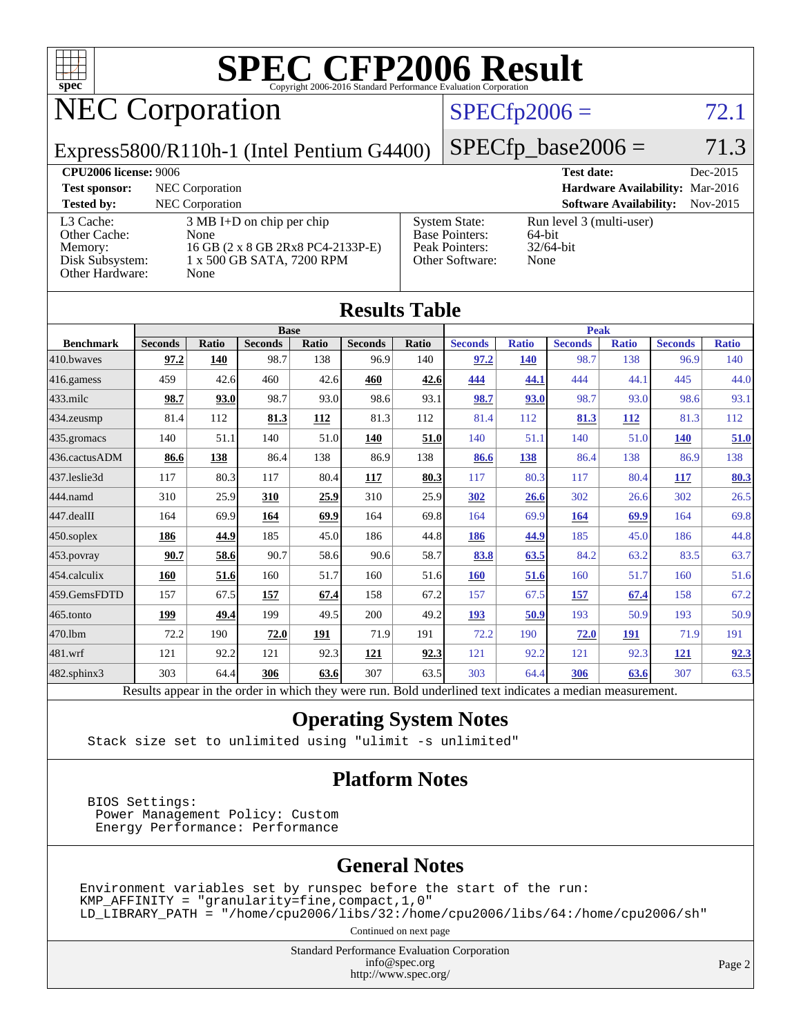

# **[SPEC CFP2006 Result](http://www.spec.org/auto/cpu2006/Docs/result-fields.html#SPECCFP2006Result)**

# NEC Corporation

# $SPECfp2006 = 72.1$  $SPECfp2006 = 72.1$

Express5800/R110h-1 (Intel Pentium G4400)

 $SPECTp\_base2006 = 71.3$ 

| <b>CPU2006 license: 9006</b>                                               |                                                                                                                       |                                                                                    | <b>Test date:</b><br>Dec-2015                              |  |
|----------------------------------------------------------------------------|-----------------------------------------------------------------------------------------------------------------------|------------------------------------------------------------------------------------|------------------------------------------------------------|--|
| <b>Test sponsor:</b>                                                       | NEC Corporation                                                                                                       |                                                                                    | Hardware Availability: Mar-2016                            |  |
| <b>Tested by:</b>                                                          | <b>NEC</b> Corporation                                                                                                |                                                                                    | <b>Software Availability:</b><br>$Nov-2015$                |  |
| L3 Cache:<br>Other Cache:<br>Memory:<br>Disk Subsystem:<br>Other Hardware: | $3 \text{ MB I+D}$ on chip per chip<br>None<br>16 GB (2 x 8 GB 2Rx8 PC4-2133P-E)<br>1 x 500 GB SATA, 7200 RPM<br>None | <b>System State:</b><br><b>Base Pointers:</b><br>Peak Pointers:<br>Other Software: | Run level 3 (multi-user)<br>64-bit<br>$32/64$ -bit<br>None |  |

**[Results Table](http://www.spec.org/auto/cpu2006/Docs/result-fields.html#ResultsTable)**

| Results Table    |                                                                                                          |              |                |       |                |       |                |              |                |              |                |              |
|------------------|----------------------------------------------------------------------------------------------------------|--------------|----------------|-------|----------------|-------|----------------|--------------|----------------|--------------|----------------|--------------|
|                  | <b>Base</b>                                                                                              |              |                |       |                |       | <b>Peak</b>    |              |                |              |                |              |
| <b>Benchmark</b> | <b>Seconds</b>                                                                                           | <b>Ratio</b> | <b>Seconds</b> | Ratio | <b>Seconds</b> | Ratio | <b>Seconds</b> | <b>Ratio</b> | <b>Seconds</b> | <b>Ratio</b> | <b>Seconds</b> | <b>Ratio</b> |
| 410.bwaves       | 97.2                                                                                                     | 140          | 98.7           | 138   | 96.9           | 140   | 97.2           | 140          | 98.7           | 138          | 96.9           | 140          |
| 416.gamess       | 459                                                                                                      | 42.6         | 460            | 42.6  | 460            | 42.6  | 444            | 44.1         | 444            | 44.1         | 445            | 44.0         |
| 433.milc         | 98.7                                                                                                     | 93.0         | 98.7           | 93.0  | 98.6           | 93.1  | 98.7           | 93.0         | 98.7           | 93.0         | 98.6           | 93.1         |
| 434.zeusmp       | 81.4                                                                                                     | 112          | 81.3           | 112   | 81.3           | 112   | 81.4           | 112          | 81.3           | 112          | 81.3           | 112          |
| 435.gromacs      | 140                                                                                                      | 51.1         | 140            | 51.0  | 140            | 51.0  | 140            | 51.1         | 140            | 51.0         | <b>140</b>     | 51.0         |
| 436.cactusADM    | 86.6                                                                                                     | 138          | 86.4           | 138   | 86.9           | 138   | 86.6           | 138          | 86.4           | 138          | 86.9           | 138          |
| 437.leslie3d     | 117                                                                                                      | 80.3         | 117            | 80.4  | 117            | 80.3  | 117            | 80.3         | 117            | 80.4         | 117            | <b>80.3</b>  |
| 444.namd         | 310                                                                                                      | 25.9         | 310            | 25.9  | 310            | 25.9  | 302            | 26.6         | 302            | 26.6         | 302            | 26.5         |
| 447.dealII       | 164                                                                                                      | 69.9         | 164            | 69.9  | 164            | 69.8  | 164            | 69.9         | 164            | 69.9         | 164            | 69.8         |
| 450.soplex       | 186                                                                                                      | 44.9         | 185            | 45.0  | 186            | 44.8  | 186            | 44.9         | 185            | 45.0         | 186            | 44.8         |
| 453.povray       | 90.7                                                                                                     | 58.6         | 90.7           | 58.6  | 90.6           | 58.7  | 83.8           | 63.5         | 84.2           | 63.2         | 83.5           | 63.7         |
| 454.calculix     | 160                                                                                                      | 51.6         | 160            | 51.7  | 160            | 51.6  | 160            | 51.6         | 160            | 51.7         | 160            | 51.6         |
| 459.GemsFDTD     | 157                                                                                                      | 67.5         | 157            | 67.4  | 158            | 67.2  | 157            | 67.5         | 157            | 67.4         | 158            | 67.2         |
| 465.tonto        | 199                                                                                                      | 49.4         | 199            | 49.5  | 200            | 49.2  | <u>193</u>     | 50.9         | 193            | 50.9         | 193            | 50.9         |
| 470.1bm          | 72.2                                                                                                     | 190          | 72.0           | 191   | 71.9           | 191   | 72.2           | 190          | 72.0           | 191          | 71.9           | 191          |
| 481.wrf          | 121                                                                                                      | 92.2         | 121            | 92.3  | 121            | 92.3  | 121            | 92.2         | 121            | 92.3         | <u>121</u>     | 92.3         |
| 482.sphinx3      | 303                                                                                                      | 64.4         | 306            | 63.6  | 307            | 63.5  | 303            | 64.4         | 306            | 63.6         | 307            | 63.5         |
|                  | Results appear in the order in which they were run. Bold underlined text indicates a median measurement. |              |                |       |                |       |                |              |                |              |                |              |

#### **[Operating System Notes](http://www.spec.org/auto/cpu2006/Docs/result-fields.html#OperatingSystemNotes)**

Stack size set to unlimited using "ulimit -s unlimited"

#### **[Platform Notes](http://www.spec.org/auto/cpu2006/Docs/result-fields.html#PlatformNotes)**

 BIOS Settings: Power Management Policy: Custom Energy Performance: Performance

### **[General Notes](http://www.spec.org/auto/cpu2006/Docs/result-fields.html#GeneralNotes)**

Environment variables set by runspec before the start of the run:  $KMP_A$ FFINITY = "granularity=fine, compact, 1, 0" LD\_LIBRARY\_PATH = "/home/cpu2006/libs/32:/home/cpu2006/libs/64:/home/cpu2006/sh"

Continued on next page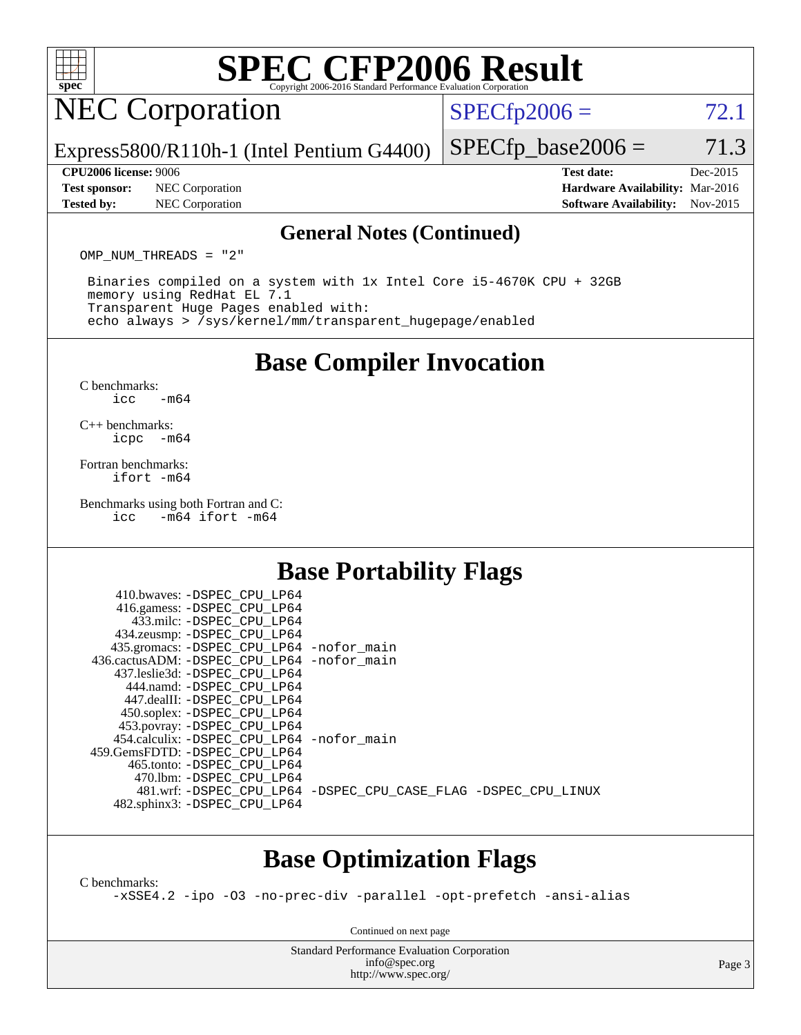

# **[SPEC CFP2006 Result](http://www.spec.org/auto/cpu2006/Docs/result-fields.html#SPECCFP2006Result)**

# NEC Corporation

 $SPECTp2006 = 72.1$ 

Express5800/R110h-1 (Intel Pentium G4400)

**[Tested by:](http://www.spec.org/auto/cpu2006/Docs/result-fields.html#Testedby)** NEC Corporation **[Software Availability:](http://www.spec.org/auto/cpu2006/Docs/result-fields.html#SoftwareAvailability)** Nov-2015

 $SPECTp\_base2006 = 71.3$ **[CPU2006 license:](http://www.spec.org/auto/cpu2006/Docs/result-fields.html#CPU2006license)** 9006 **[Test date:](http://www.spec.org/auto/cpu2006/Docs/result-fields.html#Testdate)** Dec-2015 **[Test sponsor:](http://www.spec.org/auto/cpu2006/Docs/result-fields.html#Testsponsor)** NEC Corporation **[Hardware Availability:](http://www.spec.org/auto/cpu2006/Docs/result-fields.html#HardwareAvailability)** Mar-2016

#### **[General Notes \(Continued\)](http://www.spec.org/auto/cpu2006/Docs/result-fields.html#GeneralNotes)**

OMP NUM THREADS = "2"

 Binaries compiled on a system with 1x Intel Core i5-4670K CPU + 32GB memory using RedHat EL 7.1 Transparent Huge Pages enabled with: echo always > /sys/kernel/mm/transparent\_hugepage/enabled

## **[Base Compiler Invocation](http://www.spec.org/auto/cpu2006/Docs/result-fields.html#BaseCompilerInvocation)**

[C benchmarks](http://www.spec.org/auto/cpu2006/Docs/result-fields.html#Cbenchmarks):  $\text{icc}$   $-\text{m64}$ 

[C++ benchmarks:](http://www.spec.org/auto/cpu2006/Docs/result-fields.html#CXXbenchmarks) [icpc -m64](http://www.spec.org/cpu2006/results/res2016q1/cpu2006-20160125-38813.flags.html#user_CXXbase_intel_icpc_64bit_bedb90c1146cab66620883ef4f41a67e)

[Fortran benchmarks](http://www.spec.org/auto/cpu2006/Docs/result-fields.html#Fortranbenchmarks): [ifort -m64](http://www.spec.org/cpu2006/results/res2016q1/cpu2006-20160125-38813.flags.html#user_FCbase_intel_ifort_64bit_ee9d0fb25645d0210d97eb0527dcc06e)

[Benchmarks using both Fortran and C](http://www.spec.org/auto/cpu2006/Docs/result-fields.html#BenchmarksusingbothFortranandC):<br>icc -m64 ifort -m64  $-m64$  ifort  $-m64$ 

# **[Base Portability Flags](http://www.spec.org/auto/cpu2006/Docs/result-fields.html#BasePortabilityFlags)**

| 410.bwaves: -DSPEC CPU LP64                  |                                                                |
|----------------------------------------------|----------------------------------------------------------------|
| 416.gamess: -DSPEC_CPU_LP64                  |                                                                |
| 433.milc: -DSPEC CPU LP64                    |                                                                |
| 434.zeusmp: - DSPEC_CPU_LP64                 |                                                                |
| 435.gromacs: -DSPEC_CPU_LP64 -nofor_main     |                                                                |
| 436.cactusADM: - DSPEC CPU LP64 - nofor main |                                                                |
| 437.leslie3d: -DSPEC CPU LP64                |                                                                |
| 444.namd: -DSPEC CPU LP64                    |                                                                |
| 447.dealII: -DSPEC CPU LP64                  |                                                                |
| 450.soplex: -DSPEC_CPU_LP64                  |                                                                |
| 453.povray: -DSPEC_CPU_LP64                  |                                                                |
| 454.calculix: - DSPEC CPU LP64 - nofor main  |                                                                |
| 459.GemsFDTD: -DSPEC CPU LP64                |                                                                |
| 465.tonto: -DSPEC CPU LP64                   |                                                                |
| 470.1bm: - DSPEC CPU LP64                    |                                                                |
|                                              | 481.wrf: -DSPEC CPU_LP64 -DSPEC_CPU_CASE_FLAG -DSPEC_CPU_LINUX |
| 482.sphinx3: -DSPEC_CPU_LP64                 |                                                                |
|                                              |                                                                |

## **[Base Optimization Flags](http://www.spec.org/auto/cpu2006/Docs/result-fields.html#BaseOptimizationFlags)**

[C benchmarks](http://www.spec.org/auto/cpu2006/Docs/result-fields.html#Cbenchmarks):

[-xSSE4.2](http://www.spec.org/cpu2006/results/res2016q1/cpu2006-20160125-38813.flags.html#user_CCbase_f-xSSE42_f91528193cf0b216347adb8b939d4107) [-ipo](http://www.spec.org/cpu2006/results/res2016q1/cpu2006-20160125-38813.flags.html#user_CCbase_f-ipo) [-O3](http://www.spec.org/cpu2006/results/res2016q1/cpu2006-20160125-38813.flags.html#user_CCbase_f-O3) [-no-prec-div](http://www.spec.org/cpu2006/results/res2016q1/cpu2006-20160125-38813.flags.html#user_CCbase_f-no-prec-div) [-parallel](http://www.spec.org/cpu2006/results/res2016q1/cpu2006-20160125-38813.flags.html#user_CCbase_f-parallel) [-opt-prefetch](http://www.spec.org/cpu2006/results/res2016q1/cpu2006-20160125-38813.flags.html#user_CCbase_f-opt-prefetch) [-ansi-alias](http://www.spec.org/cpu2006/results/res2016q1/cpu2006-20160125-38813.flags.html#user_CCbase_f-ansi-alias)

Continued on next page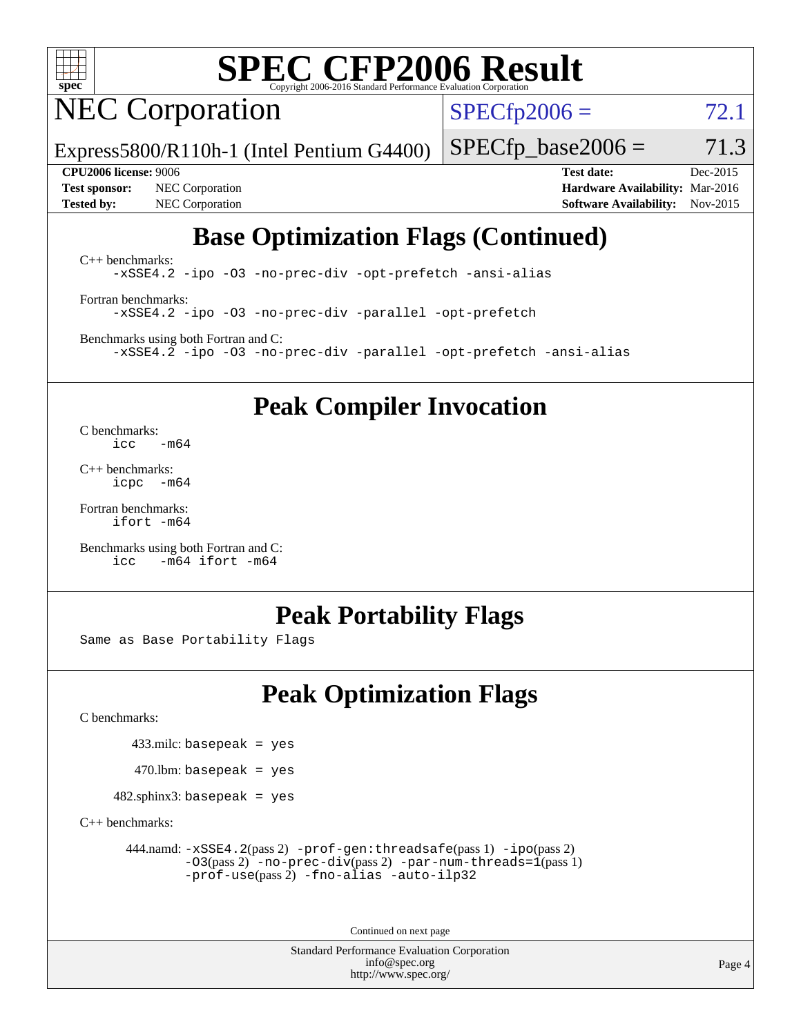

# **[SPEC CFP2006 Result](http://www.spec.org/auto/cpu2006/Docs/result-fields.html#SPECCFP2006Result)**

NEC Corporation

 $SPECTp2006 = 72.1$ 

Express5800/R110h-1 (Intel Pentium G4400)

 $SPECTp\_base2006 = 71.3$ 

**[Test sponsor:](http://www.spec.org/auto/cpu2006/Docs/result-fields.html#Testsponsor)** NEC Corporation **[Hardware Availability:](http://www.spec.org/auto/cpu2006/Docs/result-fields.html#HardwareAvailability)** Mar-2016 **[Tested by:](http://www.spec.org/auto/cpu2006/Docs/result-fields.html#Testedby)** NEC Corporation **[Software Availability:](http://www.spec.org/auto/cpu2006/Docs/result-fields.html#SoftwareAvailability)** Nov-2015

**[CPU2006 license:](http://www.spec.org/auto/cpu2006/Docs/result-fields.html#CPU2006license)** 9006 **[Test date:](http://www.spec.org/auto/cpu2006/Docs/result-fields.html#Testdate)** Dec-2015

# **[Base Optimization Flags \(Continued\)](http://www.spec.org/auto/cpu2006/Docs/result-fields.html#BaseOptimizationFlags)**

[C++ benchmarks:](http://www.spec.org/auto/cpu2006/Docs/result-fields.html#CXXbenchmarks) [-xSSE4.2](http://www.spec.org/cpu2006/results/res2016q1/cpu2006-20160125-38813.flags.html#user_CXXbase_f-xSSE42_f91528193cf0b216347adb8b939d4107) [-ipo](http://www.spec.org/cpu2006/results/res2016q1/cpu2006-20160125-38813.flags.html#user_CXXbase_f-ipo) [-O3](http://www.spec.org/cpu2006/results/res2016q1/cpu2006-20160125-38813.flags.html#user_CXXbase_f-O3) [-no-prec-div](http://www.spec.org/cpu2006/results/res2016q1/cpu2006-20160125-38813.flags.html#user_CXXbase_f-no-prec-div) [-opt-prefetch](http://www.spec.org/cpu2006/results/res2016q1/cpu2006-20160125-38813.flags.html#user_CXXbase_f-opt-prefetch) [-ansi-alias](http://www.spec.org/cpu2006/results/res2016q1/cpu2006-20160125-38813.flags.html#user_CXXbase_f-ansi-alias)

[Fortran benchmarks](http://www.spec.org/auto/cpu2006/Docs/result-fields.html#Fortranbenchmarks): [-xSSE4.2](http://www.spec.org/cpu2006/results/res2016q1/cpu2006-20160125-38813.flags.html#user_FCbase_f-xSSE42_f91528193cf0b216347adb8b939d4107) [-ipo](http://www.spec.org/cpu2006/results/res2016q1/cpu2006-20160125-38813.flags.html#user_FCbase_f-ipo) [-O3](http://www.spec.org/cpu2006/results/res2016q1/cpu2006-20160125-38813.flags.html#user_FCbase_f-O3) [-no-prec-div](http://www.spec.org/cpu2006/results/res2016q1/cpu2006-20160125-38813.flags.html#user_FCbase_f-no-prec-div) [-parallel](http://www.spec.org/cpu2006/results/res2016q1/cpu2006-20160125-38813.flags.html#user_FCbase_f-parallel) [-opt-prefetch](http://www.spec.org/cpu2006/results/res2016q1/cpu2006-20160125-38813.flags.html#user_FCbase_f-opt-prefetch)

[Benchmarks using both Fortran and C](http://www.spec.org/auto/cpu2006/Docs/result-fields.html#BenchmarksusingbothFortranandC): [-xSSE4.2](http://www.spec.org/cpu2006/results/res2016q1/cpu2006-20160125-38813.flags.html#user_CC_FCbase_f-xSSE42_f91528193cf0b216347adb8b939d4107) [-ipo](http://www.spec.org/cpu2006/results/res2016q1/cpu2006-20160125-38813.flags.html#user_CC_FCbase_f-ipo) [-O3](http://www.spec.org/cpu2006/results/res2016q1/cpu2006-20160125-38813.flags.html#user_CC_FCbase_f-O3) [-no-prec-div](http://www.spec.org/cpu2006/results/res2016q1/cpu2006-20160125-38813.flags.html#user_CC_FCbase_f-no-prec-div) [-parallel](http://www.spec.org/cpu2006/results/res2016q1/cpu2006-20160125-38813.flags.html#user_CC_FCbase_f-parallel) [-opt-prefetch](http://www.spec.org/cpu2006/results/res2016q1/cpu2006-20160125-38813.flags.html#user_CC_FCbase_f-opt-prefetch) [-ansi-alias](http://www.spec.org/cpu2006/results/res2016q1/cpu2006-20160125-38813.flags.html#user_CC_FCbase_f-ansi-alias)

**[Peak Compiler Invocation](http://www.spec.org/auto/cpu2006/Docs/result-fields.html#PeakCompilerInvocation)**

[C benchmarks](http://www.spec.org/auto/cpu2006/Docs/result-fields.html#Cbenchmarks):  $\text{icc}$   $-\text{m64}$ 

[C++ benchmarks:](http://www.spec.org/auto/cpu2006/Docs/result-fields.html#CXXbenchmarks) [icpc -m64](http://www.spec.org/cpu2006/results/res2016q1/cpu2006-20160125-38813.flags.html#user_CXXpeak_intel_icpc_64bit_bedb90c1146cab66620883ef4f41a67e)

[Fortran benchmarks](http://www.spec.org/auto/cpu2006/Docs/result-fields.html#Fortranbenchmarks): [ifort -m64](http://www.spec.org/cpu2006/results/res2016q1/cpu2006-20160125-38813.flags.html#user_FCpeak_intel_ifort_64bit_ee9d0fb25645d0210d97eb0527dcc06e)

[Benchmarks using both Fortran and C](http://www.spec.org/auto/cpu2006/Docs/result-fields.html#BenchmarksusingbothFortranandC): [icc -m64](http://www.spec.org/cpu2006/results/res2016q1/cpu2006-20160125-38813.flags.html#user_CC_FCpeak_intel_icc_64bit_0b7121f5ab7cfabee23d88897260401c) [ifort -m64](http://www.spec.org/cpu2006/results/res2016q1/cpu2006-20160125-38813.flags.html#user_CC_FCpeak_intel_ifort_64bit_ee9d0fb25645d0210d97eb0527dcc06e)

## **[Peak Portability Flags](http://www.spec.org/auto/cpu2006/Docs/result-fields.html#PeakPortabilityFlags)**

Same as Base Portability Flags

# **[Peak Optimization Flags](http://www.spec.org/auto/cpu2006/Docs/result-fields.html#PeakOptimizationFlags)**

[C benchmarks](http://www.spec.org/auto/cpu2006/Docs/result-fields.html#Cbenchmarks):

433.milc: basepeak = yes

 $470$ .lbm: basepeak = yes

482.sphinx3: basepeak = yes

[C++ benchmarks:](http://www.spec.org/auto/cpu2006/Docs/result-fields.html#CXXbenchmarks)

 444.namd: [-xSSE4.2](http://www.spec.org/cpu2006/results/res2016q1/cpu2006-20160125-38813.flags.html#user_peakPASS2_CXXFLAGSPASS2_LDFLAGS444_namd_f-xSSE42_f91528193cf0b216347adb8b939d4107)(pass 2) [-prof-gen:threadsafe](http://www.spec.org/cpu2006/results/res2016q1/cpu2006-20160125-38813.flags.html#user_peakPASS1_CXXFLAGSPASS1_LDFLAGS444_namd_prof_gen_21a26eb79f378b550acd7bec9fe4467a)(pass 1) [-ipo](http://www.spec.org/cpu2006/results/res2016q1/cpu2006-20160125-38813.flags.html#user_peakPASS2_CXXFLAGSPASS2_LDFLAGS444_namd_f-ipo)(pass 2) [-O3](http://www.spec.org/cpu2006/results/res2016q1/cpu2006-20160125-38813.flags.html#user_peakPASS2_CXXFLAGSPASS2_LDFLAGS444_namd_f-O3)(pass 2) [-no-prec-div](http://www.spec.org/cpu2006/results/res2016q1/cpu2006-20160125-38813.flags.html#user_peakPASS2_CXXFLAGSPASS2_LDFLAGS444_namd_f-no-prec-div)(pass 2) [-par-num-threads=1](http://www.spec.org/cpu2006/results/res2016q1/cpu2006-20160125-38813.flags.html#user_peakPASS1_CXXFLAGSPASS1_LDFLAGS444_namd_par_num_threads_786a6ff141b4e9e90432e998842df6c2)(pass 1) [-prof-use](http://www.spec.org/cpu2006/results/res2016q1/cpu2006-20160125-38813.flags.html#user_peakPASS2_CXXFLAGSPASS2_LDFLAGS444_namd_prof_use_bccf7792157ff70d64e32fe3e1250b55)(pass 2) [-fno-alias](http://www.spec.org/cpu2006/results/res2016q1/cpu2006-20160125-38813.flags.html#user_peakCXXOPTIMIZEOPTIMIZE444_namd_f-no-alias_694e77f6c5a51e658e82ccff53a9e63a) [-auto-ilp32](http://www.spec.org/cpu2006/results/res2016q1/cpu2006-20160125-38813.flags.html#user_peakCXXOPTIMIZE444_namd_f-auto-ilp32)

Continued on next page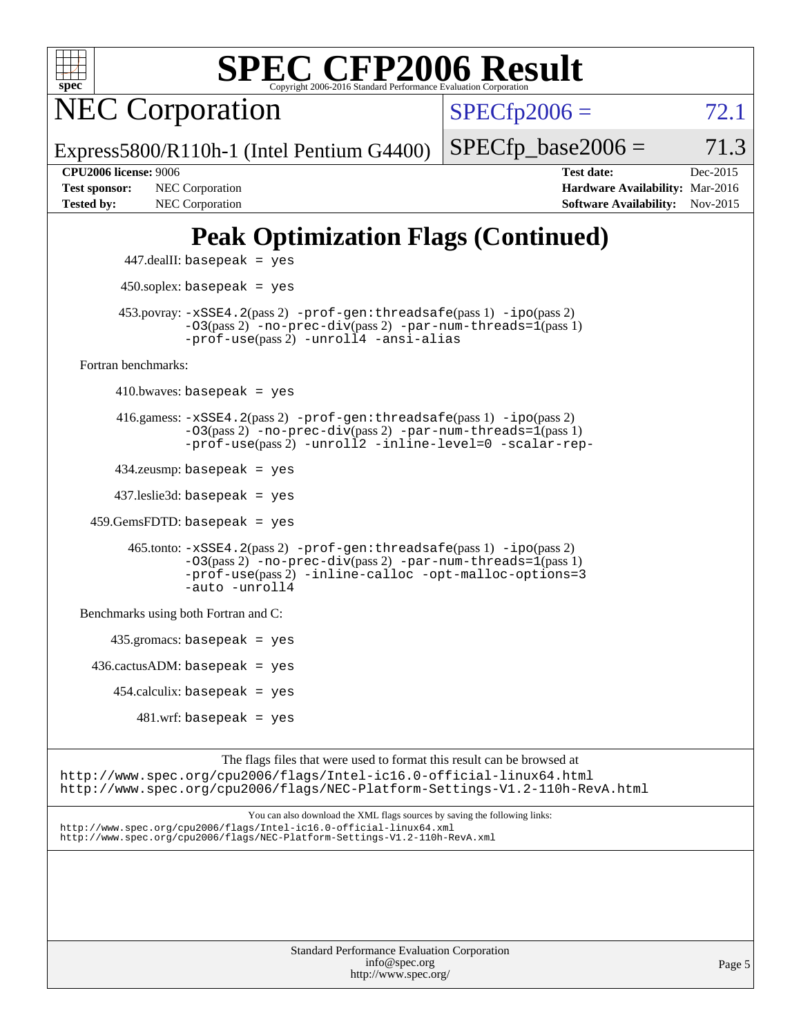

<http://www.spec.org/cpu2006/flags/NEC-Platform-Settings-V1.2-110h-RevA.xml>